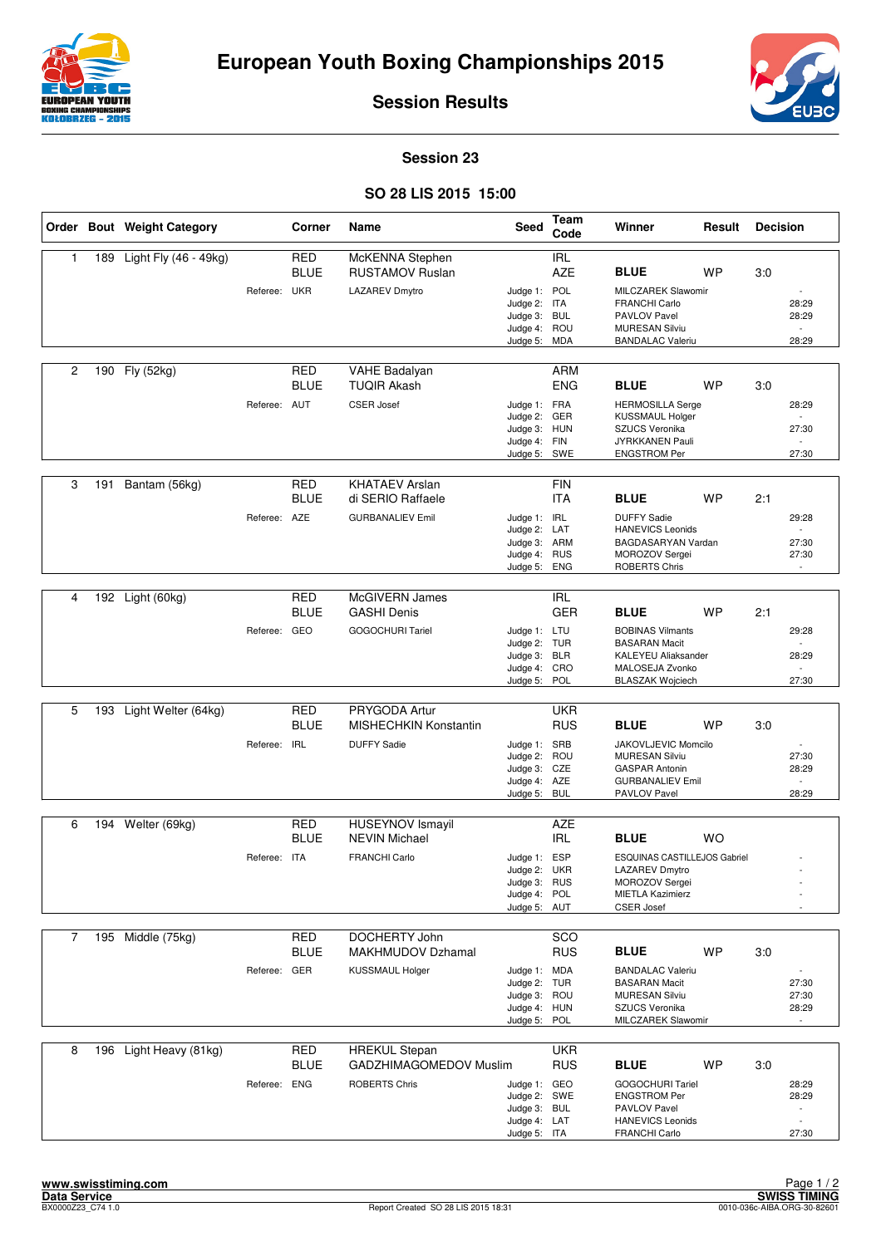



**Session Results**

## **Session 23**

## **SO 28 LIS 2015 15:00**

|                |     | Order Bout Weight Category |              | Corner                    | Name                                            | <b>Seed</b>                  | Team<br>Code             | Winner                                           | Result    | <b>Decision</b> |                                |
|----------------|-----|----------------------------|--------------|---------------------------|-------------------------------------------------|------------------------------|--------------------------|--------------------------------------------------|-----------|-----------------|--------------------------------|
| 1              | 189 | Light Fly (46 - 49kg)      |              | <b>RED</b><br><b>BLUE</b> | McKENNA Stephen<br><b>RUSTAMOV Ruslan</b>       |                              | <b>IRL</b><br><b>AZE</b> | <b>BLUE</b>                                      | WP        | 3:0             |                                |
|                |     |                            | Referee: UKR |                           | <b>LAZAREV Dmytro</b>                           | Judge 1: POL                 |                          | MILCZAREK Slawomir                               |           |                 | ÷                              |
|                |     |                            |              |                           |                                                 | Judge 2: ITA                 |                          | <b>FRANCHI Carlo</b>                             |           |                 | 28:29                          |
|                |     |                            |              |                           |                                                 | Judge 3: BUL                 |                          | PAVLOV Pavel                                     |           |                 | 28:29<br>$\overline{a}$        |
|                |     |                            |              |                           |                                                 | Judge 4: ROU<br>Judge 5: MDA |                          | <b>MURESAN Silviu</b><br><b>BANDALAC Valeriu</b> |           |                 | 28:29                          |
|                |     |                            |              |                           |                                                 |                              |                          |                                                  |           |                 |                                |
| $\overline{c}$ | 190 | Fly (52kg)                 |              | <b>RED</b><br><b>BLUE</b> | <b>VAHE Badalyan</b><br><b>TUQIR Akash</b>      |                              | <b>ARM</b><br><b>ENG</b> | <b>BLUE</b>                                      | <b>WP</b> | 3:0             |                                |
|                |     |                            | Referee: AUT |                           | <b>CSER Josef</b>                               | Judge 1: FRA<br>Judge 2: GER |                          | <b>HERMOSILLA Serge</b><br>KUSSMAUL Holger       |           |                 | 28:29                          |
|                |     |                            |              |                           |                                                 | Judge 3: HUN                 |                          | <b>SZUCS Veronika</b>                            |           |                 | 27:30                          |
|                |     |                            |              |                           |                                                 | Judge 4: FIN<br>Judge 5: SWE |                          | JYRKKANEN Pauli<br><b>ENGSTROM Per</b>           |           |                 | 27:30                          |
|                |     |                            |              |                           |                                                 |                              |                          |                                                  |           |                 |                                |
| 3              | 191 | Bantam (56kg)              |              | <b>RED</b><br><b>BLUE</b> | <b>KHATAEV Arslan</b><br>di SERIO Raffaele      |                              | <b>FIN</b><br><b>ITA</b> | <b>BLUE</b>                                      | <b>WP</b> | 2:1             |                                |
|                |     |                            | Referee: AZE |                           | <b>GURBANALIEV Emil</b>                         | Judge 1: IRL                 |                          | <b>DUFFY Sadie</b>                               |           |                 | 29:28                          |
|                |     |                            |              |                           |                                                 | Judge 2: LAT                 |                          | <b>HANEVICS Leonids</b>                          |           |                 |                                |
|                |     |                            |              |                           |                                                 | Judge 3: ARM<br>Judge 4: RUS |                          | BAGDASARYAN Vardan<br>MOROZOV Sergei             |           |                 | 27:30<br>27:30                 |
|                |     |                            |              |                           |                                                 | Judge 5:                     | <b>ENG</b>               | <b>ROBERTS Chris</b>                             |           |                 |                                |
|                |     |                            |              |                           |                                                 |                              |                          |                                                  |           |                 |                                |
| 4              |     | 192 Light (60kg)           |              | <b>RED</b>                | McGIVERN James                                  |                              | <b>IRL</b>               |                                                  |           |                 |                                |
|                |     |                            |              | <b>BLUE</b>               | <b>GASHI Denis</b>                              |                              | <b>GER</b>               | <b>BLUE</b>                                      | <b>WP</b> | 2:1             |                                |
|                |     |                            | Referee: GEO |                           | <b>GOGOCHURI Tariel</b>                         | Judge 1: LTU                 |                          | <b>BOBINAS Vilmants</b><br><b>BASARAN Macit</b>  |           |                 | 29:28                          |
|                |     |                            |              |                           |                                                 | Judge 2: TUR<br>Judge 3: BLR |                          | <b>KALEYEU Aliaksander</b>                       |           |                 | 28:29                          |
|                |     |                            |              |                           |                                                 | Judge 4: CRO                 |                          | MALOSEJA Zvonko                                  |           |                 |                                |
|                |     |                            |              |                           |                                                 | Judge 5:                     | POL                      | <b>BLASZAK Wojciech</b>                          |           |                 | 27:30                          |
| 5              | 193 | Light Welter (64kg)        |              | <b>RED</b>                | PRYGODA Artur                                   |                              | <b>UKR</b>               |                                                  |           |                 |                                |
|                |     |                            |              | <b>BLUE</b>               | <b>MISHECHKIN Konstantin</b>                    |                              | <b>RUS</b>               | <b>BLUE</b>                                      | <b>WP</b> | 3:0             |                                |
|                |     |                            | Referee: IRL |                           | <b>DUFFY Sadie</b>                              | Judge 1: SRB                 |                          | JAKOVLJEVIC Momcilo                              |           |                 |                                |
|                |     |                            |              |                           |                                                 | Judge 2:<br>Judge 3: CZE     | ROU                      | <b>MURESAN Silviu</b><br><b>GASPAR Antonin</b>   |           |                 | 27:30<br>28:29                 |
|                |     |                            |              |                           |                                                 | Judge 4: AZE                 |                          | <b>GURBANALIEV Emil</b>                          |           |                 | ÷.                             |
|                |     |                            |              |                           |                                                 | Judge 5: BUL                 |                          | PAVLOV Pavel                                     |           |                 | 28:29                          |
|                |     |                            |              |                           |                                                 |                              |                          |                                                  |           |                 |                                |
| 6              |     | 194 Welter (69kg)          |              | <b>RED</b><br><b>BLUE</b> | <b>HUSEYNOV Ismayil</b><br><b>NEVIN Michael</b> |                              | <b>AZE</b><br><b>IRL</b> | <b>BLUE</b>                                      | <b>WO</b> |                 |                                |
|                |     |                            | Referee: ITA |                           | <b>FRANCHI Carlo</b>                            | Judge 1: ESP                 |                          | <b>ESQUINAS CASTILLEJOS Gabriel</b>              |           |                 |                                |
|                |     |                            |              |                           |                                                 | Judge 2: UKR                 |                          | LAZAREV Dmytro                                   |           |                 | ٠                              |
|                |     |                            |              |                           |                                                 | Judge 3: RUS                 |                          | MOROZOV Sergei                                   |           |                 |                                |
|                |     |                            |              |                           |                                                 | Judge 4: POL<br>Judge 5: AUT |                          | <b>MIETLA Kazimierz</b><br><b>CSER Josef</b>     |           |                 |                                |
|                |     |                            |              |                           |                                                 |                              |                          |                                                  |           |                 |                                |
| 7              | 195 | Middle (75kg)              |              | <b>RED</b>                | DOCHERTY John                                   |                              | SCO                      |                                                  |           |                 |                                |
|                |     |                            |              | BLUE                      | <b>MAKHMUDOV Dzhamal</b>                        |                              | <b>RUS</b>               | <b>BLUE</b>                                      | WP        | 3:0             |                                |
|                |     |                            | Referee: GER |                           | <b>KUSSMAUL Holger</b>                          | Judge 1: MDA                 |                          | <b>BANDALAC Valeriu</b>                          |           |                 | $\overline{\phantom{a}}$       |
|                |     |                            |              |                           |                                                 | Judge 2: TUR<br>Judge 3: ROU |                          | <b>BASARAN Macit</b><br><b>MURESAN Silviu</b>    |           |                 | 27:30<br>27:30                 |
|                |     |                            |              |                           |                                                 | Judge 4: HUN                 |                          | SZUCS Veronika                                   |           |                 | 28:29                          |
|                |     |                            |              |                           |                                                 | Judge 5:                     | POL                      | MILCZAREK Slawomir                               |           |                 |                                |
| 8              |     | 196 Light Heavy (81kg)     |              | <b>RED</b>                | <b>HREKUL Stepan</b>                            |                              | <b>UKR</b>               |                                                  |           |                 |                                |
|                |     |                            |              | <b>BLUE</b>               | GADZHIMAGOMEDOV Muslim                          |                              | <b>RUS</b>               | <b>BLUE</b>                                      | <b>WP</b> | 3:0             |                                |
|                |     |                            | Referee: ENG |                           | <b>ROBERTS Chris</b>                            | Judge 1: GEO                 |                          | <b>GOGOCHURI Tariel</b>                          |           |                 | 28:29                          |
|                |     |                            |              |                           |                                                 | Judge 2: SWE                 |                          | <b>ENGSTROM Per</b>                              |           |                 | 28:29                          |
|                |     |                            |              |                           |                                                 | Judge 3: BUL<br>Judge 4: LAT |                          | PAVLOV Pavel<br><b>HANEVICS Leonids</b>          |           |                 | $\mathbf{r}$<br>$\blacksquare$ |
|                |     |                            |              |                           |                                                 | Judge 5: ITA                 |                          | <b>FRANCHI Carlo</b>                             |           |                 | 27:30                          |